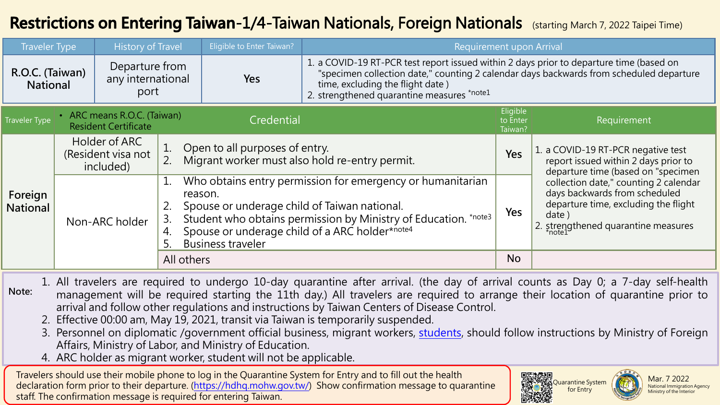## Restrictions on Entering Taiwan-1/4-Taiwan Nationals, Foreign Nationals (starting March 7, 2022 Taipei Time)

| <b>Traveler Type</b>               |                                                            | <b>History of Travel</b>                    |                                                                                        | Eligible to Enter Taiwan?                                                                                                                                                                                                                                              | Requirement upon Arrival                                                                                                                                                                                                                                             |                                                                                                                  |                                                                                                                                                                |  |
|------------------------------------|------------------------------------------------------------|---------------------------------------------|----------------------------------------------------------------------------------------|------------------------------------------------------------------------------------------------------------------------------------------------------------------------------------------------------------------------------------------------------------------------|----------------------------------------------------------------------------------------------------------------------------------------------------------------------------------------------------------------------------------------------------------------------|------------------------------------------------------------------------------------------------------------------|----------------------------------------------------------------------------------------------------------------------------------------------------------------|--|
| R.O.C. (Taiwan)<br><b>National</b> |                                                            | Departure from<br>any international<br>port |                                                                                        | Yes                                                                                                                                                                                                                                                                    | 1. a COVID-19 RT-PCR test report issued within 2 days prior to departure time (based on<br>"specimen collection date," counting 2 calendar days backwards from scheduled departure<br>time, excluding the flight date)<br>2. strengthened quarantine measures *note1 |                                                                                                                  |                                                                                                                                                                |  |
| <b>Traveler Type</b>               | • ARC means R.O.C. (Taiwan)<br><b>Resident Certificate</b> |                                             | Credential                                                                             |                                                                                                                                                                                                                                                                        |                                                                                                                                                                                                                                                                      | Requirement                                                                                                      |                                                                                                                                                                |  |
| Foreign<br><b>National</b>         | Holder of ARC<br>(Resident visa not<br>included)           |                                             | Open to all purposes of entry.<br>Migrant worker must also hold re-entry permit.<br>2. |                                                                                                                                                                                                                                                                        | Yes                                                                                                                                                                                                                                                                  | 1. a COVID-19 RT-PCR negative test<br>report issued within 2 days prior to<br>departure time (based on "specimen |                                                                                                                                                                |  |
|                                    | Non-ARC holder                                             |                                             | 1.<br>3.<br>4.                                                                         | Who obtains entry permission for emergency or humanitarian<br>reason.<br>Spouse or underage child of Taiwan national.<br>Student who obtains permission by Ministry of Education. *note3<br>Spouse or underage child of a ARC holder*note4<br><b>Business traveler</b> |                                                                                                                                                                                                                                                                      | Yes                                                                                                              | collection date," counting 2 calendar<br>days backwards from scheduled<br>departure time, excluding the flight<br>date)<br>2. strengthened quarantine measures |  |
|                                    |                                                            |                                             | All others                                                                             |                                                                                                                                                                                                                                                                        |                                                                                                                                                                                                                                                                      | <b>No</b>                                                                                                        |                                                                                                                                                                |  |

**Note:** 1. All travelers are required to undergo 10-day quarantine after arrival. (the day of arrival counts as Day 0; a 7-day self-health management will be required starting the 11th day.) All travelers are required to arrange their location of quarantine prior to arrival and follow other regulations and instructions by Taiwan Centers of Disease Control.

- 2. Effective 00:00 am, May 19, 2021, transit via Taiwan is temporarily suspended.
- 3. Personnel on diplomatic /government official business, migrant workers, [students](#page-3-0), should follow instructions by Ministry of Foreign Affairs, Ministry of Labor, and Ministry of Education.
- 4. ARC holder as migrant worker, student will not be applicable.

Travelers should use their mobile phone to log in the Quarantine System for Entry and to fill out the health declaration form prior to their departure. [\(https://hdhq.mohw.gov.tw/\)](https://hdhq.mohw.gov.tw/) Show confirmation message to quarantine staff. The confirmation message is required for entering Taiwan.



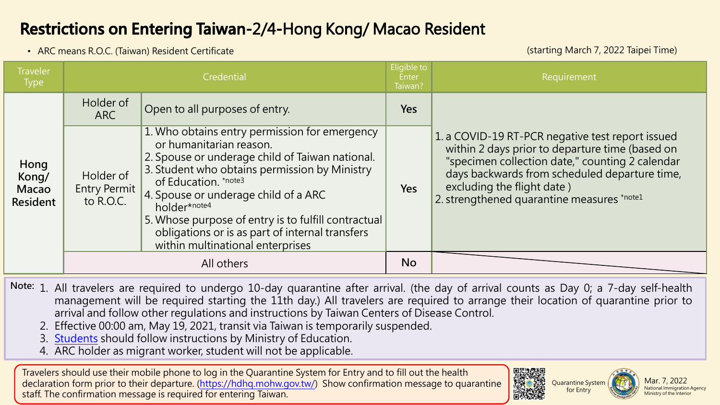## **Restrictions on Entering Taiwan-2/4-Hong Kong/ Macao Resident**

• ARC means R.O.C. (Taiwan) Resident Certificate

(starting March 7, 2022 Taipei Time)

| <b>Traveler</b><br><b>Type</b>            | Credential                                    |                                                                                                                                                                                                                                                                                                                                                                                                            | Eligible to<br>Enter<br>Taiwan? | Requirement                                                                                                                                                                                                                                                                         |  |
|-------------------------------------------|-----------------------------------------------|------------------------------------------------------------------------------------------------------------------------------------------------------------------------------------------------------------------------------------------------------------------------------------------------------------------------------------------------------------------------------------------------------------|---------------------------------|-------------------------------------------------------------------------------------------------------------------------------------------------------------------------------------------------------------------------------------------------------------------------------------|--|
| Hong<br>Kong/<br>Macao<br><b>Resident</b> | Holder of<br><b>ARC</b>                       | Open to all purposes of entry.                                                                                                                                                                                                                                                                                                                                                                             | <b>Yes</b>                      | 1. a COVID-19 RT-PCR negative test report issued<br>within 2 days prior to departure time (based on<br>"specimen collection date," counting 2 calendar<br>days backwards from scheduled departure time,<br>excluding the flight date)<br>2. strengthened quarantine measures *note1 |  |
|                                           | Holder of<br><b>Entry Permit</b><br>to R.O.C. | 1. Who obtains entry permission for emergency<br>or humanitarian reason.<br>2. Spouse or underage child of Taiwan national.<br>3. Student who obtains permission by Ministry<br>of Education. *note3<br>4. Spouse or underage child of a ARC<br>holder*note4<br>5. Whose purpose of entry is to fulfill contractual<br>obligations or is as part of internal transfers<br>within multinational enterprises | <b>Yes</b>                      |                                                                                                                                                                                                                                                                                     |  |
|                                           |                                               | All others                                                                                                                                                                                                                                                                                                                                                                                                 | <b>No</b>                       |                                                                                                                                                                                                                                                                                     |  |

**Note:** 1. All travelers are required to undergo 10-day quarantine after arrival. (the day of arrival counts as Day 0; a 7-day self-health management will be required starting the 11th day.) All travelers are required to arrange their location of quarantine prior to arrival and follow other regulations and instructions by Taiwan Centers of Disease Control.

- 2. Effective 00:00 am, May 19, 2021, transit via Taiwan is temporarily suspended.
- 3. [Students](#page-3-0) should follow instructions by Ministry of Education.
- 4. ARC holder as migrant worker, student will not be applicable.

Travelers should use their mobile phone to log in the Quarantine System for Entry and to fill out the health declaration form prior to their departure. [\(https://hdhq.mohw.gov.tw/\)](https://hdhq.mohw.gov.tw/) Show confirmation message to quarantine staff. The confirmation message is required for entering Taiwan.





Mar. 7, 2022 National Immigration Agency Ministry of the Interior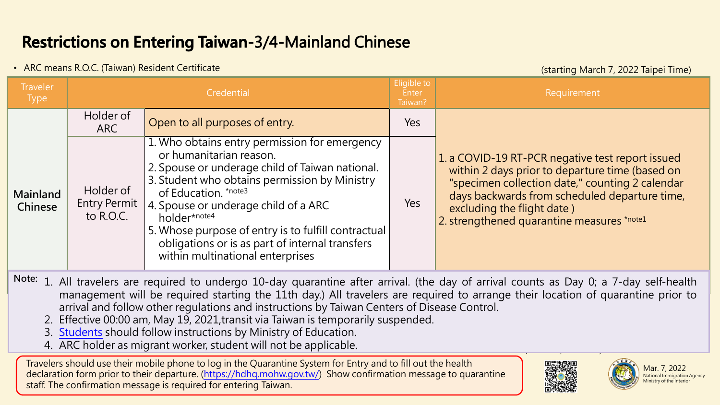# **Restrictions on Entering Taiwan-3/4-Mainland Chinese**

### • ARC means R.O.C. (Taiwan) Resident Certificate (starting March 7, 2022 Taipei Time)

| <b>Traveler</b><br><b>Type</b>                                                                                                           |                                               | Credential                                                                                                                                                                                                                                                                                                                                                                                                 |     | Requirement                                                                                                                                                                                                                                                                         |  |
|------------------------------------------------------------------------------------------------------------------------------------------|-----------------------------------------------|------------------------------------------------------------------------------------------------------------------------------------------------------------------------------------------------------------------------------------------------------------------------------------------------------------------------------------------------------------------------------------------------------------|-----|-------------------------------------------------------------------------------------------------------------------------------------------------------------------------------------------------------------------------------------------------------------------------------------|--|
|                                                                                                                                          | Holder of<br>ARC                              | Open to all purposes of entry.                                                                                                                                                                                                                                                                                                                                                                             | Yes |                                                                                                                                                                                                                                                                                     |  |
| Mainland<br>Chinese                                                                                                                      | Holder of<br><b>Entry Permit</b><br>to R.O.C. | 1. Who obtains entry permission for emergency<br>or humanitarian reason.<br>2. Spouse or underage child of Taiwan national.<br>3. Student who obtains permission by Ministry<br>of Education. *note3<br>4. Spouse or underage child of a ARC<br>holder*note4<br>5. Whose purpose of entry is to fulfill contractual<br>obligations or is as part of internal transfers<br>within multinational enterprises | Yes | 1. a COVID-19 RT-PCR negative test report issued<br>within 2 days prior to departure time (based on<br>"specimen collection date," counting 2 calendar<br>days backwards from scheduled departure time,<br>excluding the flight date)<br>2. strengthened quarantine measures *note1 |  |
| Note: 1. All travelers are required to undergo 10-day quarantine after arrival. (the day of arrival counts as Day 0; a 7-day self-health |                                               |                                                                                                                                                                                                                                                                                                                                                                                                            |     |                                                                                                                                                                                                                                                                                     |  |

- management will be required starting the 11th day.) All travelers are required to arrange their location of quarantine prior to arrival and follow other regulations and instructions by Taiwan Centers of Disease Control.
	- 2. Effective 00:00 am, May 19, 2021,transit via Taiwan is temporarily suspended.
	- 3. Students should follow instructions by Ministry of Education.
	- 4. ARC holder as migrant worker, student will not be applicable.

Travelers should use their mobile phone to log in the Quarantine System for Entry and to fill out the health declaration form prior to their departure. (<https://hdhq.mohw.gov.tw/>) Show confirmation message to quarantine staff. The confirmation message is required for entering Taiwan.



 $\overline{\phantom{a}}$ 



Mar. 7, 2022 **National Immigration Agency** Ministry of the Interior